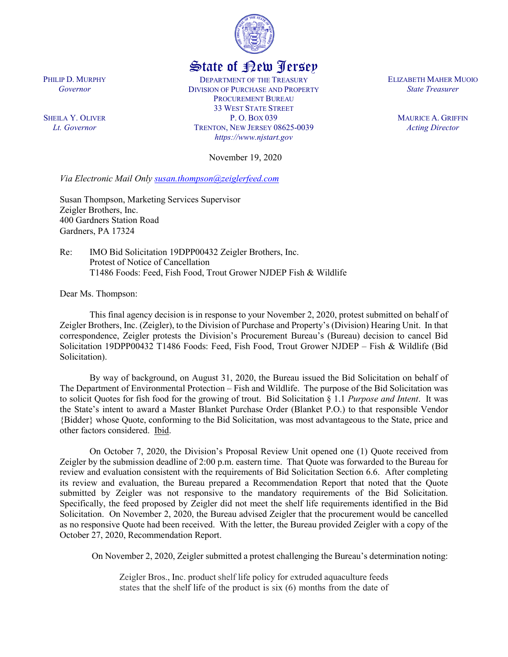

## State of New Jersey

DEPARTMENT OF THE TREASURY DIVISION OF PURCHASE AND PROPERTY PROCUREMENT BUREAU 33 WEST STATE STREET P. O. BOX 039 TRENTON, NEW JERSEY 08625-0039 *https://www.njstart.gov*

November 19, 2020

*Via Electronic Mail Only [susan.thompson@zeiglerfeed.com](mailto:susan.thompson@zeiglerfeed.com)*

Susan Thompson, Marketing Services Supervisor Zeigler Brothers, Inc. 400 Gardners Station Road Gardners, PA 17324

Re: IMO Bid Solicitation 19DPP00432 Zeigler Brothers, Inc. Protest of Notice of Cancellation T1486 Foods: Feed, Fish Food, Trout Grower NJDEP Fish & Wildlife

Dear Ms. Thompson:

This final agency decision is in response to your November 2, 2020, protest submitted on behalf of Zeigler Brothers, Inc. (Zeigler), to the Division of Purchase and Property's (Division) Hearing Unit. In that correspondence, Zeigler protests the Division's Procurement Bureau's (Bureau) decision to cancel Bid Solicitation 19DPP00432 T1486 Foods: Feed, Fish Food, Trout Grower NJDEP – Fish & Wildlife (Bid Solicitation).

By way of background, on August 31, 2020, the Bureau issued the Bid Solicitation on behalf of The Department of Environmental Protection – Fish and Wildlife. The purpose of the Bid Solicitation was to solicit Quotes for fish food for the growing of trout. Bid Solicitation § 1.1 *Purpose and Intent*. It was the State's intent to award a Master Blanket Purchase Order (Blanket P.O.) to that responsible Vendor {Bidder} whose Quote, conforming to the Bid Solicitation, was most advantageous to the State, price and other factors considered. Ibid.

On October 7, 2020, the Division's Proposal Review Unit opened one (1) Quote received from Zeigler by the submission deadline of 2:00 p.m. eastern time. That Quote was forwarded to the Bureau for review and evaluation consistent with the requirements of Bid Solicitation Section 6.6. After completing its review and evaluation, the Bureau prepared a Recommendation Report that noted that the Quote submitted by Zeigler was not responsive to the mandatory requirements of the Bid Solicitation. Specifically, the feed proposed by Zeigler did not meet the shelf life requirements identified in the Bid Solicitation. On November 2, 2020, the Bureau advised Zeigler that the procurement would be cancelled as no responsive Quote had been received. With the letter, the Bureau provided Zeigler with a copy of the October 27, 2020, Recommendation Report.

On November 2, 2020, Zeigler submitted a protest challenging the Bureau's determination noting:

Zeigler Bros., Inc. product shelf life policy for extruded aquaculture feeds states that the shelf life of the product is six (6) months from the date of

PHILIP D. MURPHY *Governor*

SHEILA Y. OLIVER *Lt. Governor*

ELIZABETH MAHER MUOIO *State Treasurer*

> MAURICE A. GRIFFIN *Acting Director*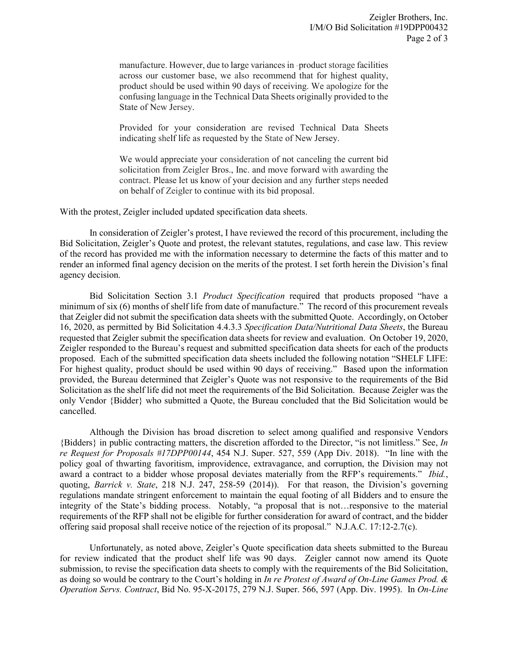manufacture. However, due to large variances in -product storage facilities across our customer base, we also recommend that for highest quality, product should be used within 90 days of receiving. We apologize for the confusing language in the Technical Data Sheets originally provided to the State of New Jersey.

Provided for your consideration are revised Technical Data Sheets indicating shelf life as requested by the State of New Jersey.

We would appreciate your consideration of not canceling the current bid solicitation from Zeigler Bros., Inc. and move forward with awarding the contract. Please let us know of your decision and any further steps needed on behalf of Zeigler to continue with its bid proposal.

With the protest, Zeigler included updated specification data sheets.

In consideration of Zeigler's protest, I have reviewed the record of this procurement, including the Bid Solicitation, Zeigler's Quote and protest, the relevant statutes, regulations, and case law. This review of the record has provided me with the information necessary to determine the facts of this matter and to render an informed final agency decision on the merits of the protest. I set forth herein the Division's final agency decision.

Bid Solicitation Section 3.1 *Product Specification* required that products proposed "have a minimum of six (6) months of shelf life from date of manufacture." The record of this procurement reveals that Zeigler did not submit the specification data sheets with the submitted Quote. Accordingly, on October 16, 2020, as permitted by Bid Solicitation 4.4.3.3 *Specification Data/Nutritional Data Sheets*, the Bureau requested that Zeigler submit the specification data sheets for review and evaluation. On October 19, 2020, Zeigler responded to the Bureau's request and submitted specification data sheets for each of the products proposed. Each of the submitted specification data sheets included the following notation "SHELF LIFE: For highest quality, product should be used within 90 days of receiving." Based upon the information provided, the Bureau determined that Zeigler's Quote was not responsive to the requirements of the Bid Solicitation as the shelf life did not meet the requirements of the Bid Solicitation. Because Zeigler was the only Vendor {Bidder} who submitted a Quote, the Bureau concluded that the Bid Solicitation would be cancelled.

Although the Division has broad discretion to select among qualified and responsive Vendors {Bidders} in public contracting matters, the discretion afforded to the Director, "is not limitless." See, *In re Request for Proposals #17DPP00144*, 454 N.J. Super. 527, 559 (App Div. 2018). "In line with the policy goal of thwarting favoritism, improvidence, extravagance, and corruption, the Division may not award a contract to a bidder whose proposal deviates materially from the RFP's requirements." *Ibid.*, quoting, *Barrick v. State*, 218 N.J. 247, 258-59 (2014)). For that reason, the Division's governing regulations mandate stringent enforcement to maintain the equal footing of all Bidders and to ensure the integrity of the State's bidding process. Notably, "a proposal that is not…responsive to the material requirements of the RFP shall not be eligible for further consideration for award of contract, and the bidder offering said proposal shall receive notice of the rejection of its proposal." N.J.A.C. 17:12-2.7(c).

Unfortunately, as noted above, Zeigler's Quote specification data sheets submitted to the Bureau for review indicated that the product shelf life was 90 days. Zeigler cannot now amend its Quote submission, to revise the specification data sheets to comply with the requirements of the Bid Solicitation, as doing so would be contrary to the Court's holding in *In re Protest of Award of On-Line Games Prod. & Operation Servs. Contract*, Bid No. 95-X-20175, 279 N.J. Super. 566, 597 (App. Div. 1995). In *On-Line*